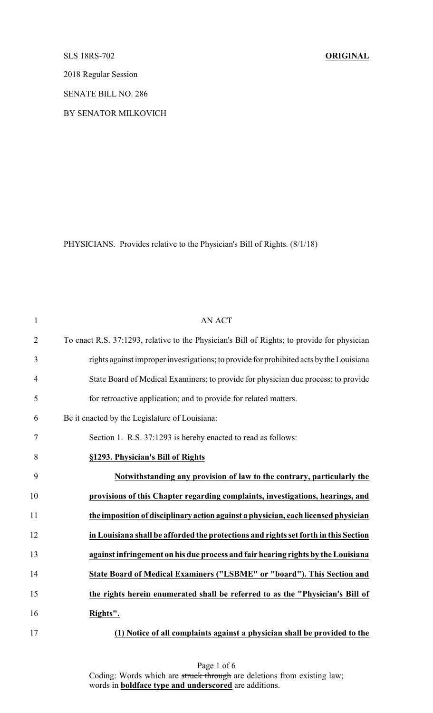SLS 18RS-702 **ORIGINAL**

2018 Regular Session

SENATE BILL NO. 286

BY SENATOR MILKOVICH

PHYSICIANS. Provides relative to the Physician's Bill of Rights. (8/1/18)

| $\mathbf{1}$   | <b>AN ACT</b>                                                                               |
|----------------|---------------------------------------------------------------------------------------------|
| $\overline{2}$ | To enact R.S. 37:1293, relative to the Physician's Bill of Rights; to provide for physician |
| 3              | rights against improper investigations; to provide for prohibited acts by the Louisiana     |
| 4              | State Board of Medical Examiners; to provide for physician due process; to provide          |
| 5              | for retroactive application; and to provide for related matters.                            |
| 6              | Be it enacted by the Legislature of Louisiana:                                              |
| 7              | Section 1. R.S. 37:1293 is hereby enacted to read as follows:                               |
| 8              | §1293. Physician's Bill of Rights                                                           |
| 9              | Notwithstanding any provision of law to the contrary, particularly the                      |
| 10             | provisions of this Chapter regarding complaints, investigations, hearings, and              |
| 11             | the imposition of disciplinary action against a physician, each licensed physician          |
| 12             | in Louisiana shall be afforded the protections and rights set forth in this Section         |
| 13             | against infringement on his due process and fair hearing rights by the Louisiana            |
| 14             | State Board of Medical Examiners ("LSBME" or "board"). This Section and                     |
| 15             | the rights herein enumerated shall be referred to as the "Physician's Bill of               |
| 16             | Rights".                                                                                    |
| 17             | (1) Notice of all complaints against a physician shall be provided to the                   |

Page 1 of 6 Coding: Words which are struck through are deletions from existing law; words in **boldface type and underscored** are additions.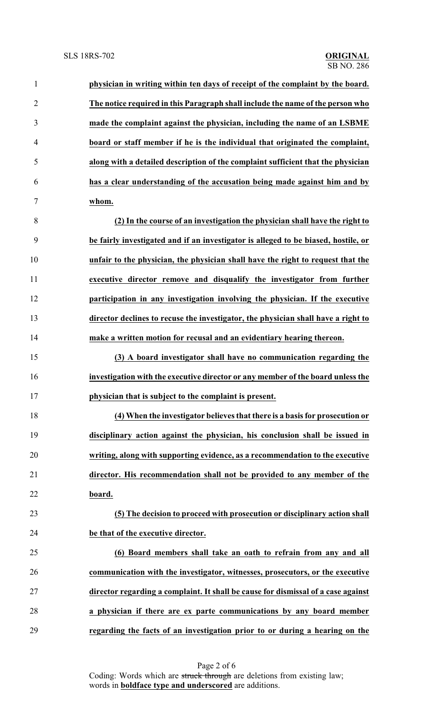| $\mathbf{1}$   | physician in writing within ten days of receipt of the complaint by the board.     |
|----------------|------------------------------------------------------------------------------------|
| $\overline{2}$ | The notice required in this Paragraph shall include the name of the person who     |
| 3              | made the complaint against the physician, including the name of an LSBME           |
| $\overline{4}$ | board or staff member if he is the individual that originated the complaint,       |
| 5              | along with a detailed description of the complaint sufficient that the physician   |
| 6              | has a clear understanding of the accusation being made against him and by          |
| 7              | whom.                                                                              |
| 8              | (2) In the course of an investigation the physician shall have the right to        |
| 9              | be fairly investigated and if an investigator is alleged to be biased, hostile, or |
| 10             | unfair to the physician, the physician shall have the right to request that the    |
| 11             | executive director remove and disqualify the investigator from further             |
| 12             | participation in any investigation involving the physician. If the executive       |
| 13             | director declines to recuse the investigator, the physician shall have a right to  |
| 14             | make a written motion for recusal and an evidentiary hearing thereon.              |
| 15             | (3) A board investigator shall have no communication regarding the                 |
| 16             | investigation with the executive director or any member of the board unless the    |
| 17             | physician that is subject to the complaint is present.                             |
| 18             | (4) When the investigator believes that there is a basis for prosecution or        |
| 19             | disciplinary action against the physician, his conclusion shall be issued in       |
| 20             | writing, along with supporting evidence, as a recommendation to the executive      |
| 21             | director. His recommendation shall not be provided to any member of the            |
| 22             | board.                                                                             |
| 23             | (5) The decision to proceed with prosecution or disciplinary action shall          |
| 24             | be that of the executive director.                                                 |
| 25             | (6) Board members shall take an oath to refrain from any and all                   |
| 26             | communication with the investigator, witnesses, prosecutors, or the executive      |
| 27             | director regarding a complaint. It shall be cause for dismissal of a case against  |
| 28             | a physician if there are ex parte communications by any board member               |
| 29             | regarding the facts of an investigation prior to or during a hearing on the        |

Page 2 of 6 Coding: Words which are struck through are deletions from existing law; words in **boldface type and underscored** are additions.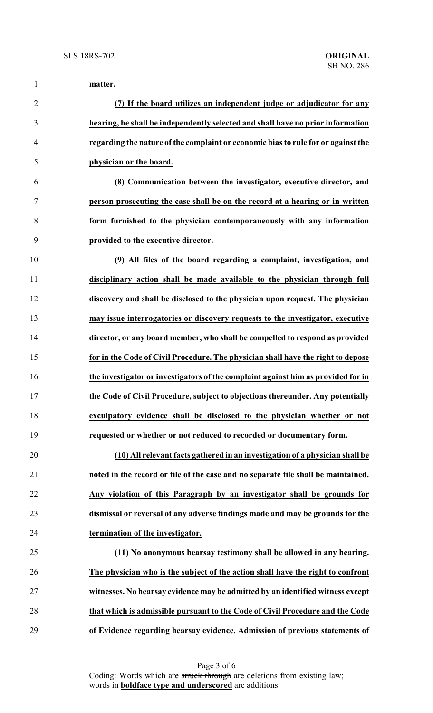| $\mathbf{1}$   | matter.                                                                           |
|----------------|-----------------------------------------------------------------------------------|
| $\overline{2}$ | (7) If the board utilizes an independent judge or adjudicator for any             |
| 3              | hearing, he shall be independently selected and shall have no prior information   |
| 4              | regarding the nature of the complaint or economic bias to rule for or against the |
| 5              | physician or the board.                                                           |
| 6              | (8) Communication between the investigator, executive director, and               |
| 7              | person prosecuting the case shall be on the record at a hearing or in written     |
| 8              | form furnished to the physician contemporaneously with any information            |
| 9              | provided to the executive director.                                               |
| 10             | (9) All files of the board regarding a complaint, investigation, and              |
| 11             | disciplinary action shall be made available to the physician through full         |
| 12             | discovery and shall be disclosed to the physician upon request. The physician     |
| 13             | may issue interrogatories or discovery requests to the investigator, executive    |
| 14             | director, or any board member, who shall be compelled to respond as provided      |
| 15             | for in the Code of Civil Procedure. The physician shall have the right to depose  |
| 16             | the investigator or investigators of the complaint against him as provided for in |
| 17             | the Code of Civil Procedure, subject to objections thereunder. Any potentially    |
| 18             | exculpatory evidence shall be disclosed to the physician whether or not           |
| 19             | requested or whether or not reduced to recorded or documentary form.              |
| 20             | (10) All relevant facts gathered in an investigation of a physician shall be      |
| 21             | noted in the record or file of the case and no separate file shall be maintained. |
| 22             | Any violation of this Paragraph by an investigator shall be grounds for           |
| 23             | dismissal or reversal of any adverse findings made and may be grounds for the     |
| 24             | termination of the investigator.                                                  |
| 25             | (11) No anonymous hearsay testimony shall be allowed in any hearing.              |
| 26             | The physician who is the subject of the action shall have the right to confront   |
| 27             | witnesses. No hearsay evidence may be admitted by an identified witness except    |
| 28             | that which is admissible pursuant to the Code of Civil Procedure and the Code     |
| 29             | of Evidence regarding hearsay evidence. Admission of previous statements of       |

Page 3 of 6 Coding: Words which are struck through are deletions from existing law; words in **boldface type and underscored** are additions.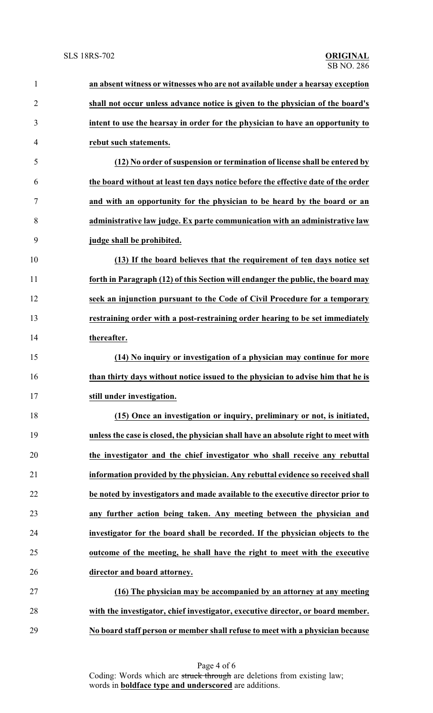| $\mathbf{1}$   | an absent witness or witnesses who are not available under a hearsay exception     |
|----------------|------------------------------------------------------------------------------------|
| $\overline{2}$ | shall not occur unless advance notice is given to the physician of the board's     |
| 3              | intent to use the hearsay in order for the physician to have an opportunity to     |
| $\overline{4}$ | rebut such statements.                                                             |
| 5              | (12) No order of suspension or termination of license shall be entered by          |
| 6              | the board without at least ten days notice before the effective date of the order  |
| 7              | and with an opportunity for the physician to be heard by the board or an           |
| 8              | administrative law judge. Ex parte communication with an administrative law        |
| 9              | judge shall be prohibited.                                                         |
| 10             | (13) If the board believes that the requirement of ten days notice set             |
| 11             | forth in Paragraph (12) of this Section will endanger the public, the board may    |
| 12             | seek an injunction pursuant to the Code of Civil Procedure for a temporary         |
| 13             | restraining order with a post-restraining order hearing to be set immediately      |
| 14             | thereafter.                                                                        |
| 15             | (14) No inquiry or investigation of a physician may continue for more              |
| 16             | than thirty days without notice issued to the physician to advise him that he is   |
| 17             | still under investigation.                                                         |
| 18             | (15) Once an investigation or inquiry, preliminary or not, is initiated,           |
| 19             | unless the case is closed, the physician shall have an absolute right to meet with |
| 20             | the investigator and the chief investigator who shall receive any rebuttal         |
| 21             | information provided by the physician. Any rebuttal evidence so received shall     |
| 22             | be noted by investigators and made available to the executive director prior to    |
| 23             | any further action being taken. Any meeting between the physician and              |
| 24             | investigator for the board shall be recorded. If the physician objects to the      |
| 25             | outcome of the meeting, he shall have the right to meet with the executive         |
| 26             | director and board attorney.                                                       |
| 27             | (16) The physician may be accompanied by an attorney at any meeting                |
| 28             | with the investigator, chief investigator, executive director, or board member.    |
| 29             | No board staff person or member shall refuse to meet with a physician because      |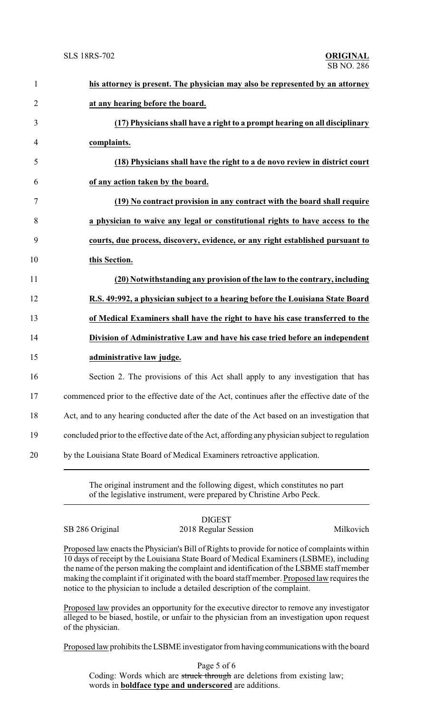| $\mathbf{1}$   | his attorney is present. The physician may also be represented by an attorney                   |
|----------------|-------------------------------------------------------------------------------------------------|
| $\overline{2}$ | at any hearing before the board.                                                                |
| 3              | (17) Physicians shall have a right to a prompt hearing on all disciplinary                      |
| 4              | complaints.                                                                                     |
| 5              | (18) Physicians shall have the right to a de novo review in district court                      |
| 6              | of any action taken by the board.                                                               |
| 7              | (19) No contract provision in any contract with the board shall require                         |
| 8              | a physician to waive any legal or constitutional rights to have access to the                   |
| 9              | courts, due process, discovery, evidence, or any right established pursuant to                  |
| 10             | this Section.                                                                                   |
| 11             | (20) Notwithstanding any provision of the law to the contrary, including                        |
| 12             | R.S. 49:992, a physician subject to a hearing before the Louisiana State Board                  |
| 13             | of Medical Examiners shall have the right to have his case transferred to the                   |
| 14             | Division of Administrative Law and have his case tried before an independent                    |
| 15             | administrative law judge.                                                                       |
| 16             | Section 2. The provisions of this Act shall apply to any investigation that has                 |
| 17             | commenced prior to the effective date of the Act, continues after the effective date of the     |
| 18             | Act, and to any hearing conducted after the date of the Act based on an investigation that      |
| 19             | concluded prior to the effective date of the Act, affording any physician subject to regulation |
| 20             | by the Louisiana State Board of Medical Examiners retroactive application.                      |
|                |                                                                                                 |

The original instrument and the following digest, which constitutes no part of the legislative instrument, were prepared by Christine Arbo Peck.

DIGEST SB 286 Original 2018 Regular Session Milkovich

Proposed law enacts the Physician's Bill of Rights to provide for notice of complaints within 10 days of receipt by the Louisiana State Board of Medical Examiners (LSBME), including the name of the person making the complaint and identification of the LSBME staff member making the complaint if it originated with the board staff member. Proposed law requires the notice to the physician to include a detailed description of the complaint.

Proposed law provides an opportunity for the executive director to remove any investigator alleged to be biased, hostile, or unfair to the physician from an investigation upon request of the physician.

Proposed law prohibits the LSBME investigator fromhaving communications with the board

Page 5 of 6 Coding: Words which are struck through are deletions from existing law; words in **boldface type and underscored** are additions.